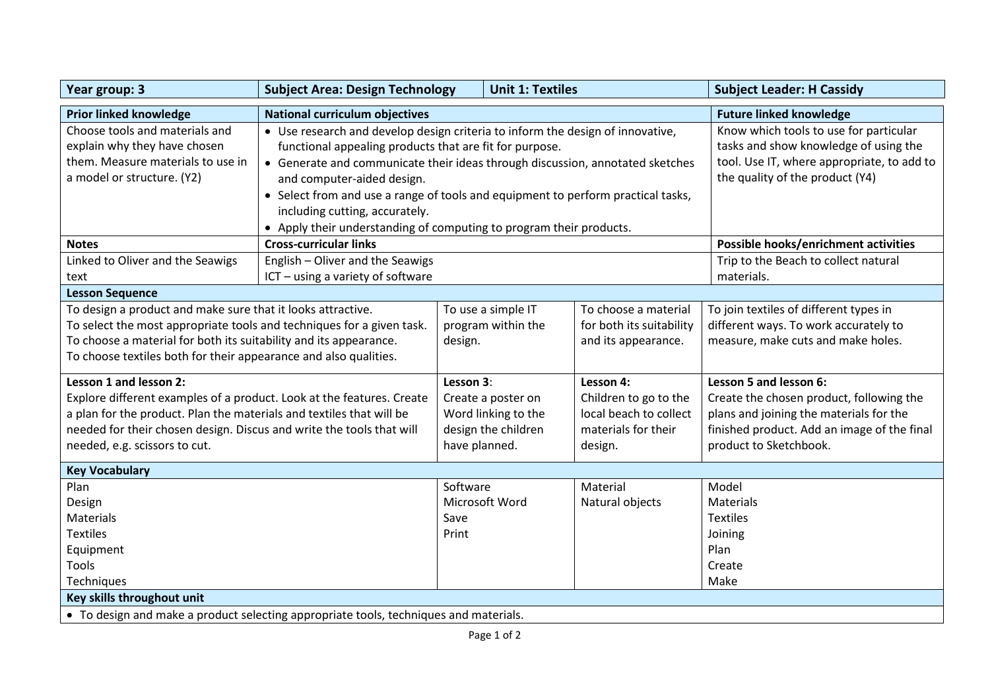| Year group: 3                                                                                                                                                                                                                                                                    | <b>Subject Area: Design Technology</b>                                                                                                                                                                                     |                                   | <b>Unit 1: Textiles</b>                                          |                                                                                                | <b>Subject Leader: H Cassidy</b>                                                                                                                                                       |  |
|----------------------------------------------------------------------------------------------------------------------------------------------------------------------------------------------------------------------------------------------------------------------------------|----------------------------------------------------------------------------------------------------------------------------------------------------------------------------------------------------------------------------|-----------------------------------|------------------------------------------------------------------|------------------------------------------------------------------------------------------------|----------------------------------------------------------------------------------------------------------------------------------------------------------------------------------------|--|
| <b>Prior linked knowledge</b>                                                                                                                                                                                                                                                    | <b>National curriculum objectives</b>                                                                                                                                                                                      |                                   |                                                                  |                                                                                                | <b>Future linked knowledge</b>                                                                                                                                                         |  |
| Choose tools and materials and<br>explain why they have chosen<br>them. Measure materials to use in                                                                                                                                                                              | • Use research and develop design criteria to inform the design of innovative,<br>functional appealing products that are fit for purpose.<br>• Generate and communicate their ideas through discussion, annotated sketches |                                   |                                                                  |                                                                                                | Know which tools to use for particular<br>tasks and show knowledge of using the<br>tool. Use IT, where appropriate, to add to                                                          |  |
| a model or structure. (Y2)                                                                                                                                                                                                                                                       | and computer-aided design.                                                                                                                                                                                                 |                                   |                                                                  |                                                                                                | the quality of the product (Y4)                                                                                                                                                        |  |
|                                                                                                                                                                                                                                                                                  | • Select from and use a range of tools and equipment to perform practical tasks,<br>including cutting, accurately.                                                                                                         |                                   |                                                                  |                                                                                                |                                                                                                                                                                                        |  |
|                                                                                                                                                                                                                                                                                  | • Apply their understanding of computing to program their products.                                                                                                                                                        |                                   |                                                                  |                                                                                                |                                                                                                                                                                                        |  |
| <b>Notes</b>                                                                                                                                                                                                                                                                     | <b>Cross-curricular links</b>                                                                                                                                                                                              |                                   |                                                                  |                                                                                                | Possible hooks/enrichment activities                                                                                                                                                   |  |
| Linked to Oliver and the Seawigs                                                                                                                                                                                                                                                 | English - Oliver and the Seawigs                                                                                                                                                                                           |                                   |                                                                  |                                                                                                | Trip to the Beach to collect natural<br>materials.                                                                                                                                     |  |
| text                                                                                                                                                                                                                                                                             |                                                                                                                                                                                                                            | ICT - using a variety of software |                                                                  |                                                                                                |                                                                                                                                                                                        |  |
| <b>Lesson Sequence</b>                                                                                                                                                                                                                                                           |                                                                                                                                                                                                                            |                                   |                                                                  |                                                                                                |                                                                                                                                                                                        |  |
| To design a product and make sure that it looks attractive.<br>To select the most appropriate tools and techniques for a given task.<br>To choose a material for both its suitability and its appearance.<br>To choose textiles both for their appearance and also qualities.    |                                                                                                                                                                                                                            | design.                           | To use a simple IT<br>program within the                         | To choose a material<br>for both its suitability<br>and its appearance.                        | To join textiles of different types in<br>different ways. To work accurately to<br>measure, make cuts and make holes.                                                                  |  |
| Lesson 1 and lesson 2:<br>Explore different examples of a product. Look at the features. Create<br>a plan for the product. Plan the materials and textiles that will be<br>needed for their chosen design. Discus and write the tools that will<br>needed, e.g. scissors to cut. |                                                                                                                                                                                                                            | Lesson 3:<br>have planned.        | Create a poster on<br>Word linking to the<br>design the children | Lesson 4:<br>Children to go to the<br>local beach to collect<br>materials for their<br>design. | Lesson 5 and lesson 6:<br>Create the chosen product, following the<br>plans and joining the materials for the<br>finished product. Add an image of the final<br>product to Sketchbook. |  |
| <b>Key Vocabulary</b>                                                                                                                                                                                                                                                            |                                                                                                                                                                                                                            |                                   |                                                                  |                                                                                                |                                                                                                                                                                                        |  |
| Plan<br>Design<br>Materials<br><b>Textiles</b><br>Equipment<br>Tools<br>Techniques                                                                                                                                                                                               |                                                                                                                                                                                                                            | Software<br>Save<br>Print         | Microsoft Word                                                   | Material<br>Natural objects                                                                    | Model<br><b>Materials</b><br><b>Textiles</b><br>Joining<br>Plan<br>Create<br>Make                                                                                                      |  |
| Key skills throughout unit                                                                                                                                                                                                                                                       |                                                                                                                                                                                                                            |                                   |                                                                  |                                                                                                |                                                                                                                                                                                        |  |
| • To design and make a product selecting appropriate tools, techniques and materials.                                                                                                                                                                                            |                                                                                                                                                                                                                            |                                   |                                                                  |                                                                                                |                                                                                                                                                                                        |  |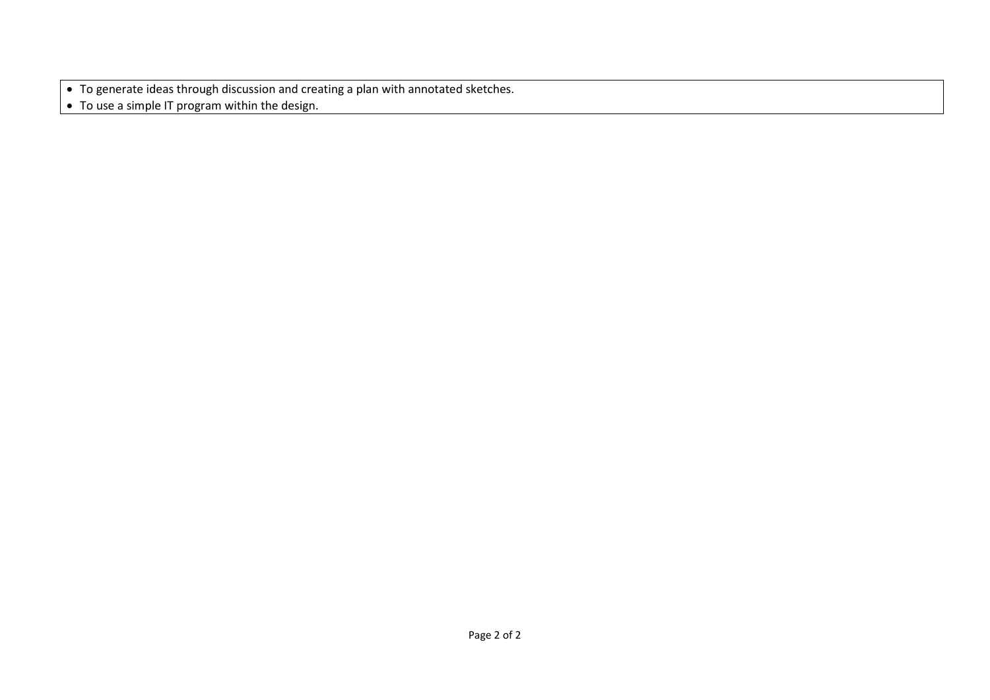• To generate ideas through discussion and creating a plan with annotated sketches.

• To use a simple IT program within the design.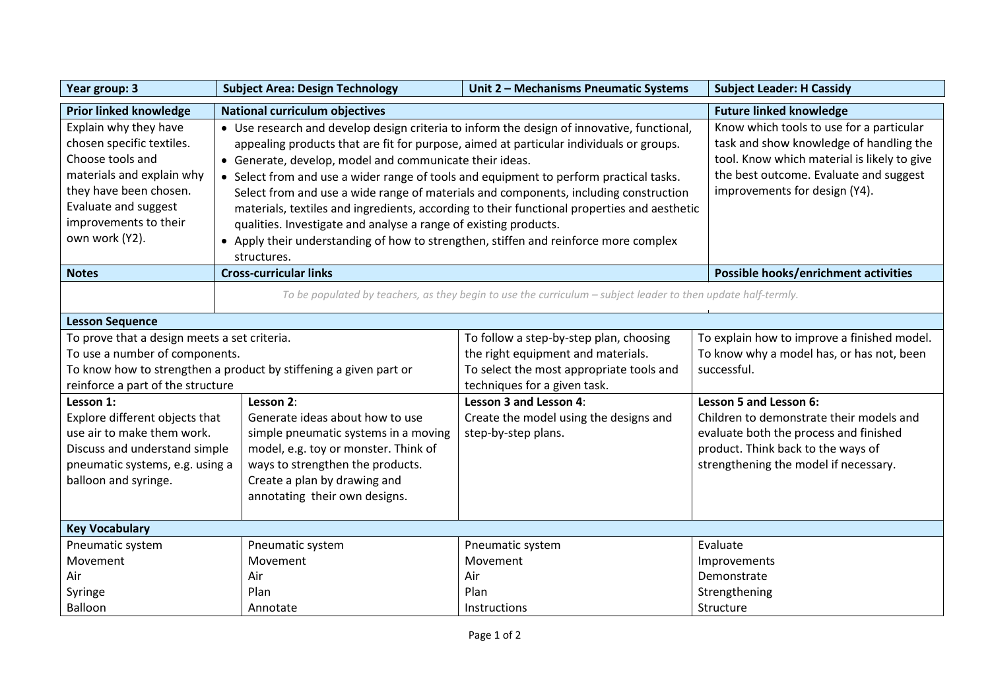| Year group: 3                                                                                                                                                                                    | <b>Subject Area: Design Technology</b>                                                                                                                                                                                                                                                                                                                                                                                                                                                                                                                                                                                                                                                                                                                                                                                                                                                                                        | Unit 2 - Mechanisms Pneumatic Systems    | <b>Subject Leader: H Cassidy</b>            |  |
|--------------------------------------------------------------------------------------------------------------------------------------------------------------------------------------------------|-------------------------------------------------------------------------------------------------------------------------------------------------------------------------------------------------------------------------------------------------------------------------------------------------------------------------------------------------------------------------------------------------------------------------------------------------------------------------------------------------------------------------------------------------------------------------------------------------------------------------------------------------------------------------------------------------------------------------------------------------------------------------------------------------------------------------------------------------------------------------------------------------------------------------------|------------------------------------------|---------------------------------------------|--|
| <b>Prior linked knowledge</b>                                                                                                                                                                    | <b>National curriculum objectives</b>                                                                                                                                                                                                                                                                                                                                                                                                                                                                                                                                                                                                                                                                                                                                                                                                                                                                                         | <b>Future linked knowledge</b>           |                                             |  |
| Explain why they have<br>chosen specific textiles.<br>Choose tools and<br>materials and explain why<br>they have been chosen.<br>Evaluate and suggest<br>improvements to their<br>own work (Y2). | Know which tools to use for a particular<br>• Use research and develop design criteria to inform the design of innovative, functional,<br>task and show knowledge of handling the<br>appealing products that are fit for purpose, aimed at particular individuals or groups.<br>tool. Know which material is likely to give<br>• Generate, develop, model and communicate their ideas.<br>the best outcome. Evaluate and suggest<br>• Select from and use a wider range of tools and equipment to perform practical tasks.<br>improvements for design (Y4).<br>Select from and use a wide range of materials and components, including construction<br>materials, textiles and ingredients, according to their functional properties and aesthetic<br>qualities. Investigate and analyse a range of existing products.<br>• Apply their understanding of how to strengthen, stiffen and reinforce more complex<br>structures. |                                          |                                             |  |
| <b>Notes</b>                                                                                                                                                                                     | <b>Cross-curricular links</b>                                                                                                                                                                                                                                                                                                                                                                                                                                                                                                                                                                                                                                                                                                                                                                                                                                                                                                 |                                          |                                             |  |
| To be populated by teachers, as they begin to use the curriculum - subject leader to then update half-termly.                                                                                    |                                                                                                                                                                                                                                                                                                                                                                                                                                                                                                                                                                                                                                                                                                                                                                                                                                                                                                                               |                                          |                                             |  |
| <b>Lesson Sequence</b>                                                                                                                                                                           |                                                                                                                                                                                                                                                                                                                                                                                                                                                                                                                                                                                                                                                                                                                                                                                                                                                                                                                               |                                          |                                             |  |
| To prove that a design meets a set criteria.<br>To follow a step-by-step plan, choosing                                                                                                          |                                                                                                                                                                                                                                                                                                                                                                                                                                                                                                                                                                                                                                                                                                                                                                                                                                                                                                                               |                                          | To explain how to improve a finished model. |  |
| To use a number of components.                                                                                                                                                                   |                                                                                                                                                                                                                                                                                                                                                                                                                                                                                                                                                                                                                                                                                                                                                                                                                                                                                                                               | the right equipment and materials.       | To know why a model has, or has not, been   |  |
| To know how to strengthen a product by stiffening a given part or                                                                                                                                |                                                                                                                                                                                                                                                                                                                                                                                                                                                                                                                                                                                                                                                                                                                                                                                                                                                                                                                               | To select the most appropriate tools and | successful.                                 |  |
|                                                                                                                                                                                                  | reinforce a part of the structure<br>techniques for a given task.                                                                                                                                                                                                                                                                                                                                                                                                                                                                                                                                                                                                                                                                                                                                                                                                                                                             |                                          |                                             |  |
| Lesson 1:                                                                                                                                                                                        | Lesson 2:                                                                                                                                                                                                                                                                                                                                                                                                                                                                                                                                                                                                                                                                                                                                                                                                                                                                                                                     | Lesson 3 and Lesson 4:                   | Lesson 5 and Lesson 6:                      |  |
| Explore different objects that                                                                                                                                                                   | Generate ideas about how to use                                                                                                                                                                                                                                                                                                                                                                                                                                                                                                                                                                                                                                                                                                                                                                                                                                                                                               | Create the model using the designs and   | Children to demonstrate their models and    |  |
| use air to make them work.                                                                                                                                                                       | simple pneumatic systems in a moving                                                                                                                                                                                                                                                                                                                                                                                                                                                                                                                                                                                                                                                                                                                                                                                                                                                                                          | step-by-step plans.                      | evaluate both the process and finished      |  |
| Discuss and understand simple                                                                                                                                                                    | model, e.g. toy or monster. Think of                                                                                                                                                                                                                                                                                                                                                                                                                                                                                                                                                                                                                                                                                                                                                                                                                                                                                          |                                          | product. Think back to the ways of          |  |
| pneumatic systems, e.g. using a                                                                                                                                                                  | ways to strengthen the products.                                                                                                                                                                                                                                                                                                                                                                                                                                                                                                                                                                                                                                                                                                                                                                                                                                                                                              |                                          | strengthening the model if necessary.       |  |
| balloon and syringe.                                                                                                                                                                             | Create a plan by drawing and                                                                                                                                                                                                                                                                                                                                                                                                                                                                                                                                                                                                                                                                                                                                                                                                                                                                                                  |                                          |                                             |  |
|                                                                                                                                                                                                  | annotating their own designs.                                                                                                                                                                                                                                                                                                                                                                                                                                                                                                                                                                                                                                                                                                                                                                                                                                                                                                 |                                          |                                             |  |
| <b>Key Vocabulary</b>                                                                                                                                                                            |                                                                                                                                                                                                                                                                                                                                                                                                                                                                                                                                                                                                                                                                                                                                                                                                                                                                                                                               |                                          |                                             |  |
| Pneumatic system                                                                                                                                                                                 | Pneumatic system                                                                                                                                                                                                                                                                                                                                                                                                                                                                                                                                                                                                                                                                                                                                                                                                                                                                                                              | Pneumatic system                         | Evaluate                                    |  |
| Movement                                                                                                                                                                                         | Movement                                                                                                                                                                                                                                                                                                                                                                                                                                                                                                                                                                                                                                                                                                                                                                                                                                                                                                                      | Movement                                 | Improvements                                |  |
| Air                                                                                                                                                                                              | Air                                                                                                                                                                                                                                                                                                                                                                                                                                                                                                                                                                                                                                                                                                                                                                                                                                                                                                                           | Air                                      | Demonstrate                                 |  |
| Syringe                                                                                                                                                                                          | Plan                                                                                                                                                                                                                                                                                                                                                                                                                                                                                                                                                                                                                                                                                                                                                                                                                                                                                                                          | Plan                                     | Strengthening                               |  |
| Balloon                                                                                                                                                                                          | Annotate                                                                                                                                                                                                                                                                                                                                                                                                                                                                                                                                                                                                                                                                                                                                                                                                                                                                                                                      | Instructions                             | Structure                                   |  |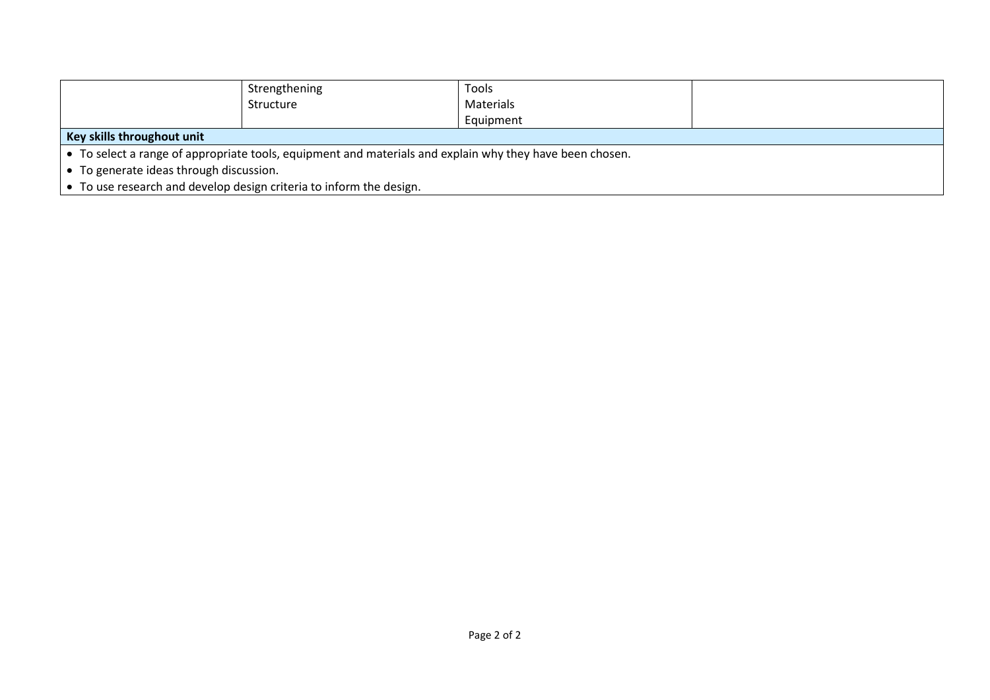|                                                                                                          | Strengthening | Tools     |  |  |
|----------------------------------------------------------------------------------------------------------|---------------|-----------|--|--|
|                                                                                                          | Structure     | Materials |  |  |
|                                                                                                          |               | Equipment |  |  |
| Key skills throughout unit                                                                               |               |           |  |  |
| • To select a range of appropriate tools, equipment and materials and explain why they have been chosen. |               |           |  |  |
| • To generate ideas through discussion.                                                                  |               |           |  |  |
| • To use research and develop design criteria to inform the design.                                      |               |           |  |  |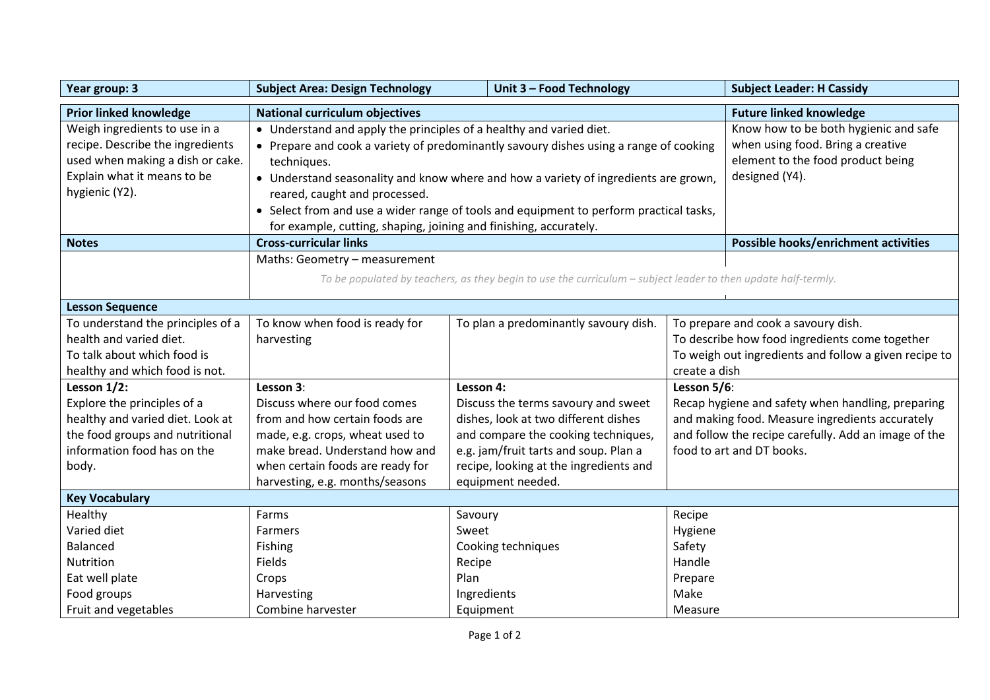| Year group: 3                                                                                                                                                                                                                                                                     | <b>Subject Area: Design Technology</b>                                                                                                                                                                                                                                                                                                                                                                                                                                               |                                    | Unit 3 - Food Technology                                                                                                                                                                             |                                                  | <b>Subject Leader: H Cassidy</b>                                                                                                                                                                                                                                                                                                            |
|-----------------------------------------------------------------------------------------------------------------------------------------------------------------------------------------------------------------------------------------------------------------------------------|--------------------------------------------------------------------------------------------------------------------------------------------------------------------------------------------------------------------------------------------------------------------------------------------------------------------------------------------------------------------------------------------------------------------------------------------------------------------------------------|------------------------------------|------------------------------------------------------------------------------------------------------------------------------------------------------------------------------------------------------|--------------------------------------------------|---------------------------------------------------------------------------------------------------------------------------------------------------------------------------------------------------------------------------------------------------------------------------------------------------------------------------------------------|
| <b>Prior linked knowledge</b>                                                                                                                                                                                                                                                     | <b>National curriculum objectives</b>                                                                                                                                                                                                                                                                                                                                                                                                                                                |                                    |                                                                                                                                                                                                      |                                                  | <b>Future linked knowledge</b>                                                                                                                                                                                                                                                                                                              |
| Weigh ingredients to use in a<br>recipe. Describe the ingredients<br>used when making a dish or cake.<br>Explain what it means to be<br>hygienic (Y2).                                                                                                                            | • Understand and apply the principles of a healthy and varied diet.<br>• Prepare and cook a variety of predominantly savoury dishes using a range of cooking<br>techniques.<br>designed (Y4).<br>• Understand seasonality and know where and how a variety of ingredients are grown,<br>reared, caught and processed.<br>• Select from and use a wider range of tools and equipment to perform practical tasks,<br>for example, cutting, shaping, joining and finishing, accurately. |                                    |                                                                                                                                                                                                      |                                                  | Know how to be both hygienic and safe<br>when using food. Bring a creative<br>element to the food product being                                                                                                                                                                                                                             |
| <b>Notes</b>                                                                                                                                                                                                                                                                      | <b>Cross-curricular links</b>                                                                                                                                                                                                                                                                                                                                                                                                                                                        |                                    |                                                                                                                                                                                                      |                                                  | Possible hooks/enrichment activities                                                                                                                                                                                                                                                                                                        |
|                                                                                                                                                                                                                                                                                   | Maths: Geometry - measurement<br>To be populated by teachers, as they begin to use the curriculum – subject leader to then update half-termly.                                                                                                                                                                                                                                                                                                                                       |                                    |                                                                                                                                                                                                      |                                                  |                                                                                                                                                                                                                                                                                                                                             |
| <b>Lesson Sequence</b>                                                                                                                                                                                                                                                            |                                                                                                                                                                                                                                                                                                                                                                                                                                                                                      |                                    |                                                                                                                                                                                                      |                                                  |                                                                                                                                                                                                                                                                                                                                             |
| To understand the principles of a<br>health and varied diet.<br>To talk about which food is<br>healthy and which food is not.<br>Lesson 1/2:<br>Explore the principles of a<br>healthy and varied diet. Look at<br>the food groups and nutritional<br>information food has on the | To know when food is ready for<br>harvesting<br>Lesson 3:<br>Discuss where our food comes<br>from and how certain foods are<br>made, e.g. crops, wheat used to<br>make bread. Understand how and                                                                                                                                                                                                                                                                                     | Lesson 4:                          | To plan a predominantly savoury dish.<br>Discuss the terms savoury and sweet<br>dishes, look at two different dishes<br>and compare the cooking techniques,<br>e.g. jam/fruit tarts and soup. Plan a | create a dish<br>Lesson 5/6:                     | To prepare and cook a savoury dish.<br>To describe how food ingredients come together<br>To weigh out ingredients and follow a given recipe to<br>Recap hygiene and safety when handling, preparing<br>and making food. Measure ingredients accurately<br>and follow the recipe carefully. Add an image of the<br>food to art and DT books. |
| body.                                                                                                                                                                                                                                                                             | when certain foods are ready for<br>harvesting, e.g. months/seasons                                                                                                                                                                                                                                                                                                                                                                                                                  |                                    | recipe, looking at the ingredients and<br>equipment needed.                                                                                                                                          |                                                  |                                                                                                                                                                                                                                                                                                                                             |
| <b>Key Vocabulary</b>                                                                                                                                                                                                                                                             |                                                                                                                                                                                                                                                                                                                                                                                                                                                                                      |                                    |                                                                                                                                                                                                      |                                                  |                                                                                                                                                                                                                                                                                                                                             |
| Healthy<br>Varied diet<br>Balanced<br>Nutrition<br>Eat well plate                                                                                                                                                                                                                 | Farms<br>Farmers<br>Fishing<br>Fields<br>Crops                                                                                                                                                                                                                                                                                                                                                                                                                                       | Savoury<br>Sweet<br>Recipe<br>Plan | Cooking techniques                                                                                                                                                                                   | Recipe<br>Hygiene<br>Safety<br>Handle<br>Prepare |                                                                                                                                                                                                                                                                                                                                             |
| Food groups<br>Fruit and vegetables                                                                                                                                                                                                                                               | Harvesting<br>Combine harvester                                                                                                                                                                                                                                                                                                                                                                                                                                                      |                                    | Ingredients<br>Equipment                                                                                                                                                                             | Make<br>Measure                                  |                                                                                                                                                                                                                                                                                                                                             |